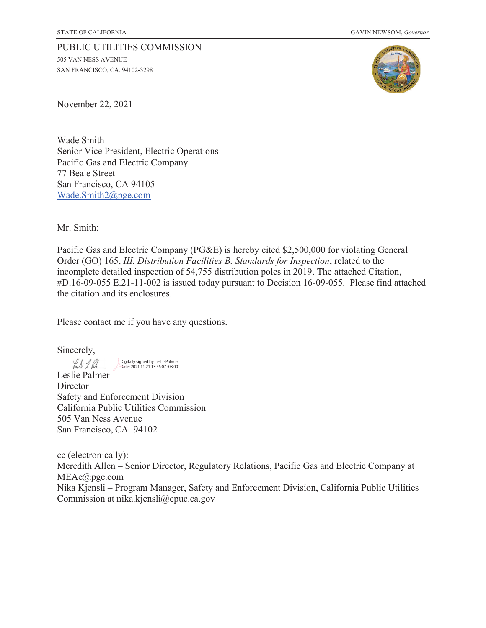#### PUBLIC UTILITIES COMMISSION

505 VAN NESS AVENUE SAN FRANCISCO, CA. 94102-3298



November 22, 2021

Wade Smith Senior Vice President, Electric Operations Pacific Gas and Electric Company 77 Beale Street San Francisco, CA 94105 Wade.Smith2@pge.com

Mr. Smith:

Pacific Gas and Electric Company (PG&E) is hereby cited \$2,500,000 for violating General Order (GO) 165, *III. Distribution Facilities B. Standards for Inspection*, related to the incomplete detailed inspection of 54,755 distribution poles in 2019. The attached Citation, #D.16-09-055 E.21-11-002 is issued today pursuant to Decision 16-09-055. Please find attached the citation and its enclosures.

Please contact me if you have any questions.

Sincerely,

Inti 1. Par

Digitally signed by Leslie Palmer Date: 2021.11.21 13:56:07 -08'00'

Leslie Palmer **Director** Safety and Enforcement Division California Public Utilities Commission 505 Van Ness Avenue San Francisco, CA 94102

cc (electronically): Meredith Allen – Senior Director, Regulatory Relations, Pacific Gas and Electric Company at MEAe@pge.com Nika Kjensli – Program Manager, Safety and Enforcement Division, California Public Utilities Commission at nika.kjensli@cpuc.ca.gov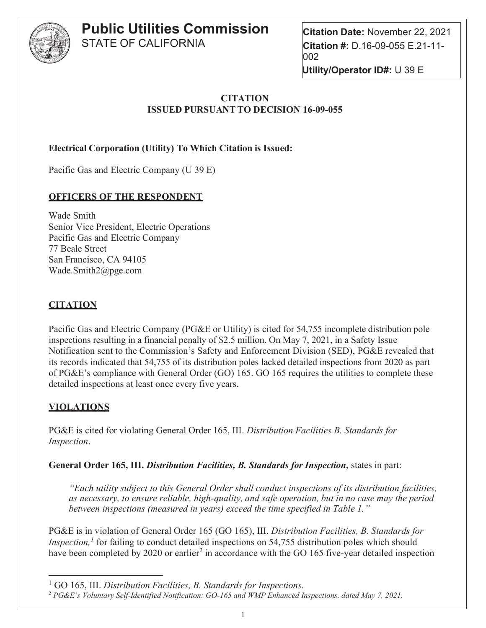

**Citation Date:** November 22, 2021 **Citation #:** D.16-09-055 E.21-11- 002 **Utility/Operator ID#:** U 39 E

#### **CITATION ISSUED PURSUANT TO DECISION 16-09-055**

**Electrical Corporation (Utility) To Which Citation is Issued:**

Pacific Gas and Electric Company (U 39 E)

#### **OFFICERS OF THE RESPONDENT**

Wade Smith Senior Vice President, Electric Operations Pacific Gas and Electric Company 77 Beale Street San Francisco, CA 94105 Wade.Smith2@pge.com

## **CITATION**

Pacific Gas and Electric Company (PG&E or Utility) is cited for 54,755 incomplete distribution pole inspections resulting in a financial penalty of \$2.5 million. On May 7, 2021, in a Safety Issue Notification sent to the Commission's Safety and Enforcement Division (SED), PG&E revealed that its records indicated that 54,755 of its distribution poles lacked detailed inspections from 2020 as part of PG&E's compliance with General Order (GO) 165. GO 165 requires the utilities to complete these detailed inspections at least once every five years.

## **VIOLATIONS**

PG&E is cited for violating General Order 165, III. *Distribution Facilities B. Standards for Inspection*.

**General Order 165, III.** *Distribution Facilities, B. Standards for Inspection,* states in part:

*"Each utility subject to this General Order shall conduct inspections of its distribution facilities, as necessary, to ensure reliable, high-quality, and safe operation, but in no case may the period between inspections (measured in years) exceed the time specified in Table 1."*

PG&E is in violation of General Order 165 (GO 165), III. *Distribution Facilities, B. Standards for Inspection*,<sup>1</sup> for failing to conduct detailed inspections on 54,755 distribution poles which should have been completed by 2020 or earlier<sup>2</sup> in accordance with the GO 165 five-year detailed inspection

<sup>1</sup> GO 165, III. *Distribution Facilities, B. Standards for Inspections.* 

<sup>2</sup> *PG&E's Voluntary Self-Identified Notification: GO-165 and WMP Enhanced Inspections, dated May 7, 2021.*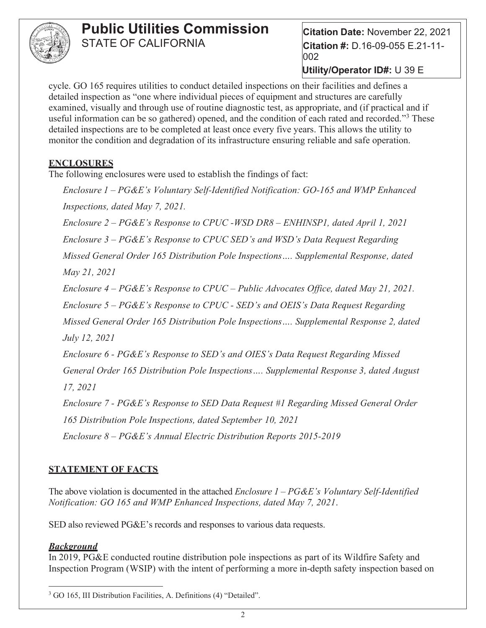

**Citation Date:** November 22, 2021 **Citation #:** D.16-09-055 E.21-11- 002

**Utility/Operator ID#:** U 39 E

cycle. GO 165 requires utilities to conduct detailed inspections on their facilities and defines a detailed inspection as "one where individual pieces of equipment and structures are carefully examined, visually and through use of routine diagnostic test, as appropriate, and (if practical and if useful information can be so gathered) opened, and the condition of each rated and recorded."<sup>3</sup> These detailed inspections are to be completed at least once every five years. This allows the utility to monitor the condition and degradation of its infrastructure ensuring reliable and safe operation.

#### **ENCLOSURES**

The following enclosures were used to establish the findings of fact:

*Enclosure 1 – PG&E's Voluntary Self-Identified Notification: GO-165 and WMP Enhanced Inspections, dated May 7, 2021.*

*Enclosure 2 – PG&E's Response to CPUC -WSD DR8 – ENHINSP1, dated April 1, 2021* 

*Enclosure 3 – PG&E's Response to CPUC SED's and WSD's Data Request Regarding* 

*Missed General Order 165 Distribution Pole Inspections…. Supplemental Response, dated* 

*May 21, 2021*

*Enclosure 4 – PG&E's Response to CPUC – Public Advocates Office, dated May 21, 2021.*

*Enclosure 5 – PG&E's Response to CPUC - SED's and OEIS's Data Request Regarding* 

*Missed General Order 165 Distribution Pole Inspections…. Supplemental Response 2, dated July 12, 2021*

*Enclosure 6 - PG&E's Response to SED's and OIES's Data Request Regarding Missed General Order 165 Distribution Pole Inspections…. Supplemental Response 3, dated August 17, 2021*

*Enclosure 7 - PG&E's Response to SED Data Request #1 Regarding Missed General Order 165 Distribution Pole Inspections, dated September 10, 2021*

*Enclosure 8 – PG&E's Annual Electric Distribution Reports 2015-2019*

## **STATEMENT OF FACTS**

The above violation is documented in the attached *Enclosure 1 – PG&E's Voluntary Self-Identified Notification: GO 165 and WMP Enhanced Inspections, dated May 7, 2021*.

SED also reviewed PG&E's records and responses to various data requests.

#### *Background*

In 2019, PG&E conducted routine distribution pole inspections as part of its Wildfire Safety and Inspection Program (WSIP) with the intent of performing a more in-depth safety inspection based on

<sup>&</sup>lt;sup>3</sup> GO 165, III Distribution Facilities, A. Definitions (4) "Detailed".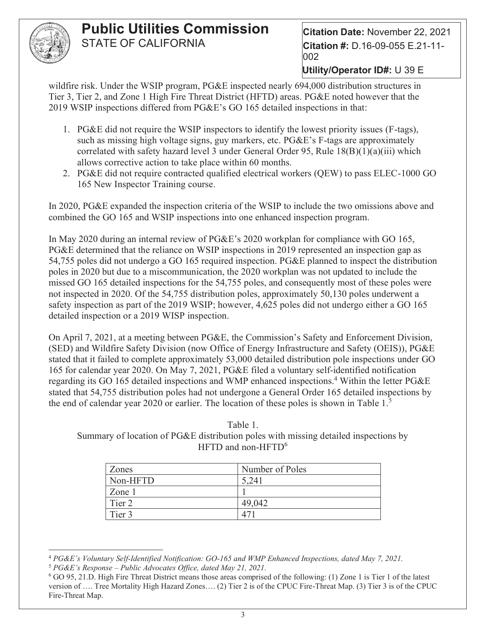

**Citation Date:** November 22, 2021 **Citation #:** D.16-09-055 E.21-11- 002

**Utility/Operator ID#:** U 39 E

wildfire risk. Under the WSIP program, PG&E inspected nearly 694,000 distribution structures in Tier 3, Tier 2, and Zone 1 High Fire Threat District (HFTD) areas. PG&E noted however that the 2019 WSIP inspections differed from PG&E's GO 165 detailed inspections in that:

- 1. PG&E did not require the WSIP inspectors to identify the lowest priority issues (F-tags), such as missing high voltage signs, guy markers, etc. PG&E's F-tags are approximately correlated with safety hazard level 3 under General Order 95, Rule  $18(B)(1)(a)(iii)$  which allows corrective action to take place within 60 months.
- 2. PG&E did not require contracted qualified electrical workers (QEW) to pass ELEC-1000 GO 165 New Inspector Training course.

In 2020, PG&E expanded the inspection criteria of the WSIP to include the two omissions above and combined the GO 165 and WSIP inspections into one enhanced inspection program.

In May 2020 during an internal review of PG&E's 2020 workplan for compliance with GO 165, PG&E determined that the reliance on WSIP inspections in 2019 represented an inspection gap as 54,755 poles did not undergo a GO 165 required inspection. PG&E planned to inspect the distribution poles in 2020 but due to a miscommunication, the 2020 workplan was not updated to include the missed GO 165 detailed inspections for the 54,755 poles, and consequently most of these poles were not inspected in 2020. Of the 54,755 distribution poles, approximately 50,130 poles underwent a safety inspection as part of the 2019 WSIP; however, 4,625 poles did not undergo either a GO 165 detailed inspection or a 2019 WISP inspection.

On April 7, 2021, at a meeting between PG&E, the Commission's Safety and Enforcement Division, (SED) and Wildfire Safety Division (now Office of Energy Infrastructure and Safety (OEIS)), PG&E stated that it failed to complete approximately 53,000 detailed distribution pole inspections under GO 165 for calendar year 2020. On May 7, 2021, PG&E filed a voluntary self-identified notification regarding its GO 165 detailed inspections and WMP enhanced inspections.<sup>4</sup> Within the letter PG&E stated that 54,755 distribution poles had not undergone a General Order 165 detailed inspections by the end of calendar year 2020 or earlier. The location of these poles is shown in Table  $1<sup>5</sup>$ 

Table 1. Summary of location of PG&E distribution poles with missing detailed inspections by HFTD and non-HFTD $<sup>6</sup>$ </sup>

| Zones    | Number of Poles |
|----------|-----------------|
| Non-HFTD | 5,241           |
| Zone 1   |                 |
| Tier 2   | 49,042          |
| Tier 3   |                 |

<sup>4</sup> *PG&E's Voluntary Self-Identified Notification: GO-165 and WMP Enhanced Inspections, dated May 7, 2021.* <sup>5</sup> *PG&E's Response – Public Advocates Office, dated May 21, 2021.*

<sup>6</sup> GO 95, 21.D. High Fire Threat District means those areas comprised of the following: (1) Zone 1 is Tier 1 of the latest version of …. Tree Mortality High Hazard Zones…. (2) Tier 2 is of the CPUC Fire-Threat Map. (3) Tier 3 is of the CPUC Fire-Threat Map.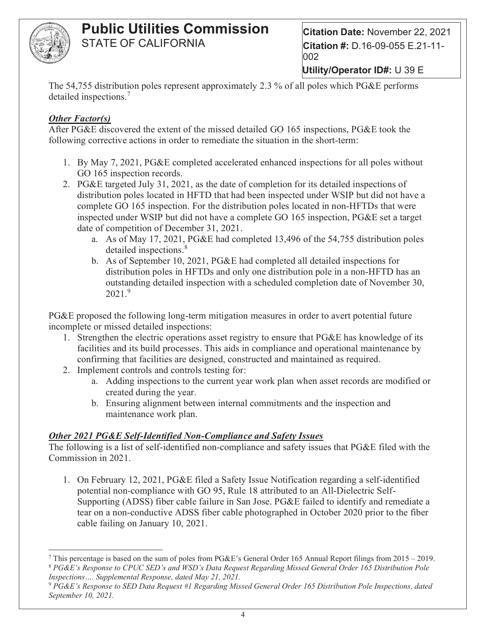

**Citation Date:** November 22, 2021 **Citation #:** D.16-09-055 E.21-11- 002

**Utility/Operator ID#:** U 39 E

The 54,755 distribution poles represent approximately 2.3 % of all poles which PG&E performs detailed inspections.<sup>7</sup>

#### *Other Factor(s)*

After PG&E discovered the extent of the missed detailed GO 165 inspections, PG&E took the following corrective actions in order to remediate the situation in the short-term:

- 1. By May 7, 2021, PG&E completed accelerated enhanced inspections for all poles without GO 165 inspection records.
- 2. PG&E targeted July 31, 2021, as the date of completion for its detailed inspections of distribution poles located in HFTD that had been inspected under WSIP but did not have a complete GO 165 inspection. For the distribution poles located in non-HFTDs that were inspected under WSIP but did not have a complete GO 165 inspection, PG&E set a target date of competition of December 31, 2021.
	- a. As of May 17, 2021, PG&E had completed 13,496 of the 54,755 distribution poles detailed inspections.<sup>8</sup>
	- b. As of September 10, 2021, PG&E had completed all detailed inspections for distribution poles in HFTDs and only one distribution pole in a non-HFTD has an outstanding detailed inspection with a scheduled completion date of November 30,  $2021.<sup>9</sup>$

PG&E proposed the following long-term mitigation measures in order to avert potential future incomplete or missed detailed inspections:

- 1. Strengthen the electric operations asset registry to ensure that PG&E has knowledge of its facilities and its build processes. This aids in compliance and operational maintenance by confirming that facilities are designed, constructed and maintained as required.
- 2. Implement controls and controls testing for:
	- a. Adding inspections to the current year work plan when asset records are modified or created during the year.
	- b. Ensuring alignment between internal commitments and the inspection and maintenance work plan.

## *Other 2021 PG&E Self-Identified Non-Compliance and Safety Issues*

The following is a list of self-identified non-compliance and safety issues that PG&E filed with the Commission in 2021.

1. On February 12, 2021, PG&E filed a Safety Issue Notification regarding a self-identified potential non-compliance with GO 95, Rule 18 attributed to an All-Dielectric Self-Supporting (ADSS) fiber cable failure in San Jose. PG&E failed to identify and remediate a tear on a non-conductive ADSS fiber cable photographed in October 2020 prior to the fiber cable failing on January 10, 2021.

<sup>&</sup>lt;sup>7</sup> This percentage is based on the sum of poles from PG&E's General Order 165 Annual Report filings from 2015 – 2019. <sup>8</sup> *PG&E's Response to CPUC SED's and WSD's Data Request Regarding Missed General Order 165 Distribution Pole Inspections…. Supplemental Response, dated May 21, 2021.*

<sup>9</sup> *PG&E's Response to SED Data Request #1 Regarding Missed General Order 165 Distribution Pole Inspections, dated September 10, 2021.*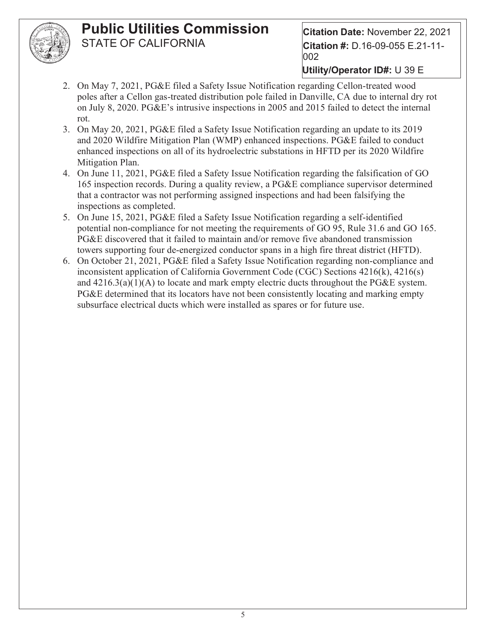

**Citation Date:** November 22, 2021 **Citation #:** D.16-09-055 E.21-11- 002

- 2. On May 7, 2021, PG&E filed a Safety Issue Notification regarding Cellon-treated wood poles after a Cellon gas-treated distribution pole failed in Danville, CA due to internal dry rot on July 8, 2020. PG&E's intrusive inspections in 2005 and 2015 failed to detect the internal rot.
- 3. On May 20, 2021, PG&E filed a Safety Issue Notification regarding an update to its 2019 and 2020 Wildfire Mitigation Plan (WMP) enhanced inspections. PG&E failed to conduct enhanced inspections on all of its hydroelectric substations in HFTD per its 2020 Wildfire Mitigation Plan.
- 4. On June 11, 2021, PG&E filed a Safety Issue Notification regarding the falsification of GO 165 inspection records. During a quality review, a PG&E compliance supervisor determined that a contractor was not performing assigned inspections and had been falsifying the inspections as completed.
- 5. On June 15, 2021, PG&E filed a Safety Issue Notification regarding a self-identified potential non-compliance for not meeting the requirements of GO 95, Rule 31.6 and GO 165. PG&E discovered that it failed to maintain and/or remove five abandoned transmission towers supporting four de-energized conductor spans in a high fire threat district (HFTD).
- 6. On October 21, 2021, PG&E filed a Safety Issue Notification regarding non-compliance and inconsistent application of California Government Code (CGC) Sections 4216(k), 4216(s) and  $4216.3(a)(1)(A)$  to locate and mark empty electric ducts throughout the PG&E system. PG&E determined that its locators have not been consistently locating and marking empty subsurface electrical ducts which were installed as spares or for future use.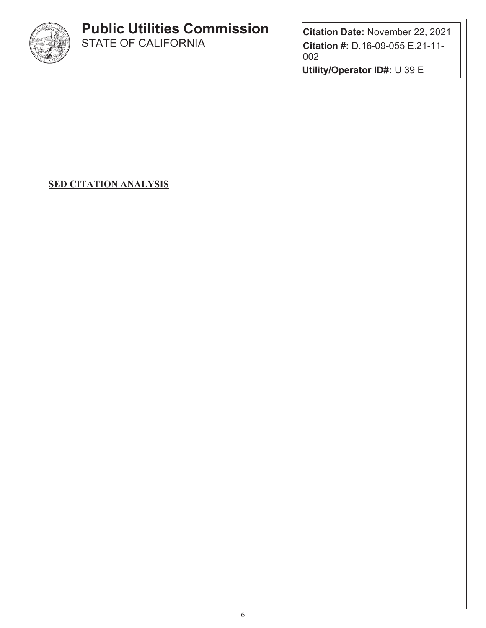

# **Public Utilities Commission**

STATE OF CALIFORNIA

**Citation Date:** November 22, 2021 **Citation #:** D.16-09-055 E.21-11- 002 **Utility/Operator ID#:** U 39 E

**SED CITATION ANALYSIS**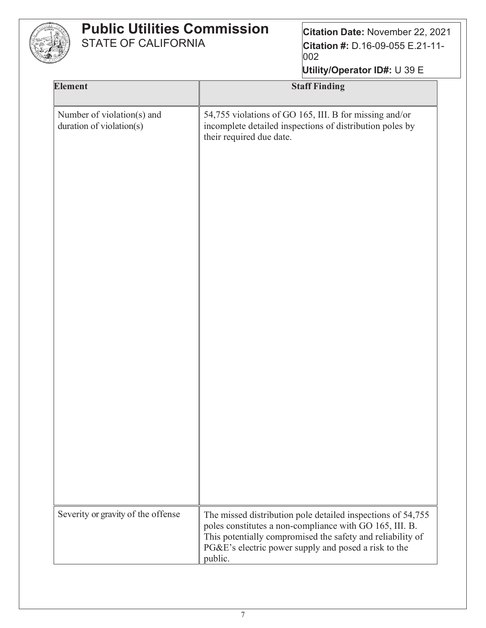

| Utility/Operator ID#: U 39 E |  |  |
|------------------------------|--|--|
|                              |  |  |

| <b>Element</b>                                         | <b>Staff Finding</b>                                                                                                                                                                                                                         |
|--------------------------------------------------------|----------------------------------------------------------------------------------------------------------------------------------------------------------------------------------------------------------------------------------------------|
| Number of violation(s) and<br>duration of violation(s) | 54,755 violations of GO 165, III. B for missing and/or<br>incomplete detailed inspections of distribution poles by<br>their required due date.                                                                                               |
| Severity or gravity of the offense                     | The missed distribution pole detailed inspections of 54,755<br>poles constitutes a non-compliance with GO 165, III. B.<br>This potentially compromised the safety and reliability of<br>PG&E's electric power supply and posed a risk to the |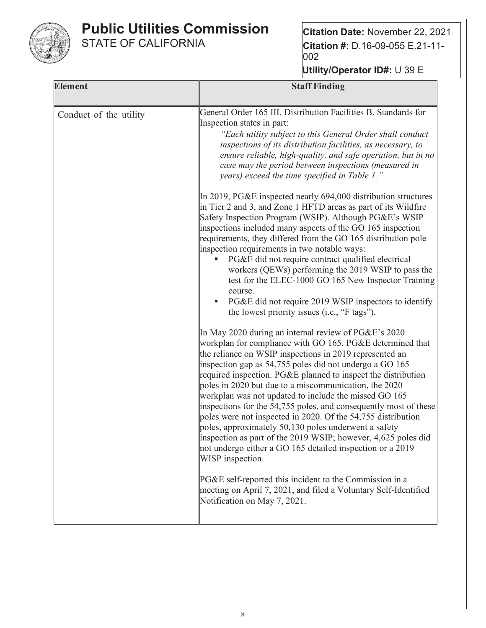

| <b>Element</b>         | <b>Staff Finding</b>                                                                                                                                                                                                                                                                                                                                                                                                                                                                                                                                                                                                                                                                                                                                                                                                                                                                                                                     |
|------------------------|------------------------------------------------------------------------------------------------------------------------------------------------------------------------------------------------------------------------------------------------------------------------------------------------------------------------------------------------------------------------------------------------------------------------------------------------------------------------------------------------------------------------------------------------------------------------------------------------------------------------------------------------------------------------------------------------------------------------------------------------------------------------------------------------------------------------------------------------------------------------------------------------------------------------------------------|
| Conduct of the utility | General Order 165 III. Distribution Facilities B. Standards for<br>Inspection states in part:<br>"Each utility subject to this General Order shall conduct<br>inspections of its distribution facilities, as necessary, to<br>ensure reliable, high-quality, and safe operation, but in no<br>case may the period between inspections (measured in<br>years) exceed the time specified in Table 1."                                                                                                                                                                                                                                                                                                                                                                                                                                                                                                                                      |
|                        | In 2019, PG&E inspected nearly $694,000$ distribution structures<br>in Tier 2 and 3, and Zone 1 HFTD areas as part of its Wildfire<br>Safety Inspection Program (WSIP). Although PG&E's WSIP<br>inspections included many aspects of the GO 165 inspection<br>requirements, they differed from the GO 165 distribution pole<br>inspection requirements in two notable ways:<br>PG&E did not require contract qualified electrical<br>workers (QEWs) performing the 2019 WSIP to pass the<br>test for the ELEC-1000 GO 165 New Inspector Training<br>course.<br>PG&E did not require 2019 WSIP inspectors to identify<br>the lowest priority issues (i.e., "F tags").                                                                                                                                                                                                                                                                     |
|                        | In May 2020 during an internal review of PG&E's 2020<br>workplan for compliance with GO 165, PG&E determined that<br>the reliance on WSIP inspections in 2019 represented an<br>inspection gap as 54,755 poles did not undergo a GO 165<br>required inspection. PG&E planned to inspect the distribution<br>poles in 2020 but due to a miscommunication, the 2020<br>workplan was not updated to include the missed GO 165<br>inspections for the 54,755 poles, and consequently most of these<br>poles were not inspected in 2020. Of the 54,755 distribution<br>poles, approximately 50,130 poles underwent a safety<br>inspection as part of the 2019 WSIP; however, $4,625$ poles did<br>not undergo either a GO 165 detailed inspection or a 2019<br>WISP inspection.<br>PG&E self-reported this incident to the Commission in a<br>meeting on April 7, 2021, and filed a Voluntary Self-Identified<br>Notification on May 7, 2021. |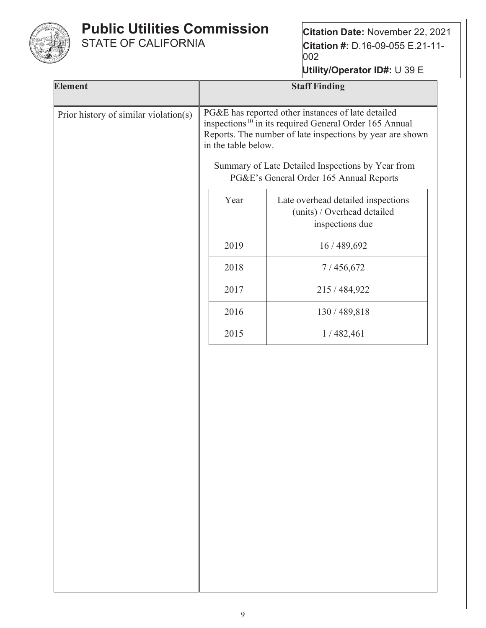

**Citation Date:** November 22, 2021 **Citation #:** D.16-09-055 E.21-11- 002

| <b>Element</b>                        |                                                                                                                                                                                                              | <b>Staff Finding</b>                                                                         |
|---------------------------------------|--------------------------------------------------------------------------------------------------------------------------------------------------------------------------------------------------------------|----------------------------------------------------------------------------------------------|
| Prior history of similar violation(s) | PG&E has reported other instances of late detailed<br>inspections <sup>10</sup> in its required General Order 165 Annual<br>Reports. The number of late inspections by year are shown<br>in the table below. |                                                                                              |
|                                       |                                                                                                                                                                                                              | Summary of Late Detailed Inspections by Year from<br>PG&E's General Order 165 Annual Reports |
|                                       | Year                                                                                                                                                                                                         | Late overhead detailed inspections<br>(units) / Overhead detailed<br>inspections due         |
|                                       | 2019                                                                                                                                                                                                         | 16 / 489,692                                                                                 |
|                                       | 2018                                                                                                                                                                                                         | 7/456,672                                                                                    |
|                                       | 2017                                                                                                                                                                                                         | 215/484,922                                                                                  |
|                                       | 2016                                                                                                                                                                                                         | 130 / 489,818                                                                                |
|                                       | 2015                                                                                                                                                                                                         | 1/482,461                                                                                    |
|                                       |                                                                                                                                                                                                              |                                                                                              |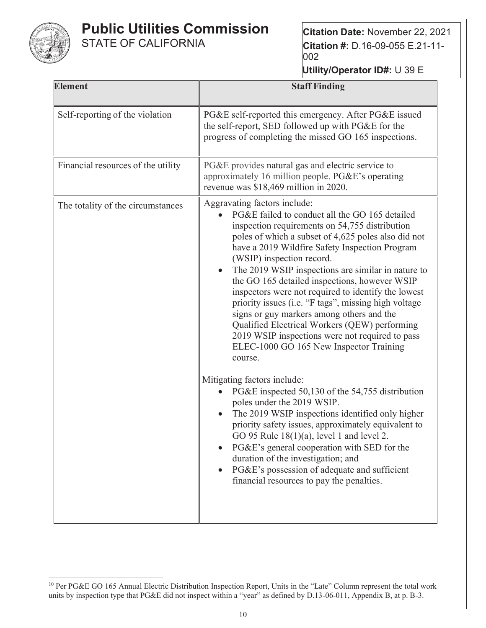

**Citation Date:** November 22, 2021 **Citation #:** D.16-09-055 E.21-11- 002

| <b>Element</b>                     | <b>Staff Finding</b>                                                                                                                                                                                                                                                                                                                                                                                                                                                                                                                                                                                                                                                                                                                                                                                                                                                                                                                                                                                                                                                                                                                                              |
|------------------------------------|-------------------------------------------------------------------------------------------------------------------------------------------------------------------------------------------------------------------------------------------------------------------------------------------------------------------------------------------------------------------------------------------------------------------------------------------------------------------------------------------------------------------------------------------------------------------------------------------------------------------------------------------------------------------------------------------------------------------------------------------------------------------------------------------------------------------------------------------------------------------------------------------------------------------------------------------------------------------------------------------------------------------------------------------------------------------------------------------------------------------------------------------------------------------|
| Self-reporting of the violation    | PG&E self-reported this emergency. After PG&E issued<br>the self-report, SED followed up with PG&E for the<br>progress of completing the missed GO 165 inspections.                                                                                                                                                                                                                                                                                                                                                                                                                                                                                                                                                                                                                                                                                                                                                                                                                                                                                                                                                                                               |
| Financial resources of the utility | PG&E provides natural gas and electric service to<br>approximately 16 million people. PG&E's operating<br>revenue was \$18,469 million in 2020.                                                                                                                                                                                                                                                                                                                                                                                                                                                                                                                                                                                                                                                                                                                                                                                                                                                                                                                                                                                                                   |
| The totality of the circumstances  | Aggravating factors include:<br>PG&E failed to conduct all the GO 165 detailed<br>inspection requirements on 54,755 distribution<br>poles of which a subset of 4,625 poles also did not<br>have a 2019 Wildfire Safety Inspection Program<br>(WSIP) inspection record.<br>The 2019 WSIP inspections are similar in nature to<br>the GO 165 detailed inspections, however WSIP<br>inspectors were not required to identify the lowest<br>priority issues (i.e. "F tags", missing high voltage<br>signs or guy markers among others and the<br>Qualified Electrical Workers (QEW) performing<br>2019 WSIP inspections were not required to pass<br>ELEC-1000 GO 165 New Inspector Training<br>course.<br>Mitigating factors include:<br>PG&E inspected 50,130 of the 54,755 distribution<br>poles under the 2019 WSIP.<br>The 2019 WSIP inspections identified only higher<br>priority safety issues, approximately equivalent to<br>GO 95 Rule $18(1)(a)$ , level 1 and level 2.<br>PG&E's general cooperation with SED for the<br>duration of the investigation; and<br>PG&E's possession of adequate and sufficient<br>financial resources to pay the penalties. |

<sup>&</sup>lt;sup>10</sup> Per PG&E GO 165 Annual Electric Distribution Inspection Report, Units in the "Late" Column represent the total work units by inspection type that PG&E did not inspect within a "year" as defined by D.13-06-011, Appendix B, at p. B-3.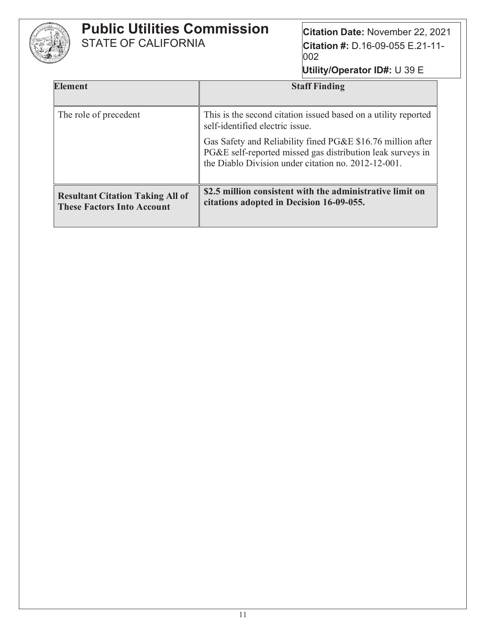

**Citation Date:** November 22, 2021 **Citation #:** D.16-09-055 E.21-11- 002

| <b>Element</b>                                                               | <b>Staff Finding</b>                                                                                                                                                             |
|------------------------------------------------------------------------------|----------------------------------------------------------------------------------------------------------------------------------------------------------------------------------|
| The role of precedent                                                        | This is the second citation issued based on a utility reported<br>self-identified electric issue.                                                                                |
|                                                                              | Gas Safety and Reliability fined PG&E \$16.76 million after<br>PG&E self-reported missed gas distribution leak surveys in<br>the Diablo Division under citation no. 2012-12-001. |
| <b>Resultant Citation Taking All of</b><br><b>These Factors Into Account</b> | \$2.5 million consistent with the administrative limit on<br>citations adopted in Decision 16-09-055.                                                                            |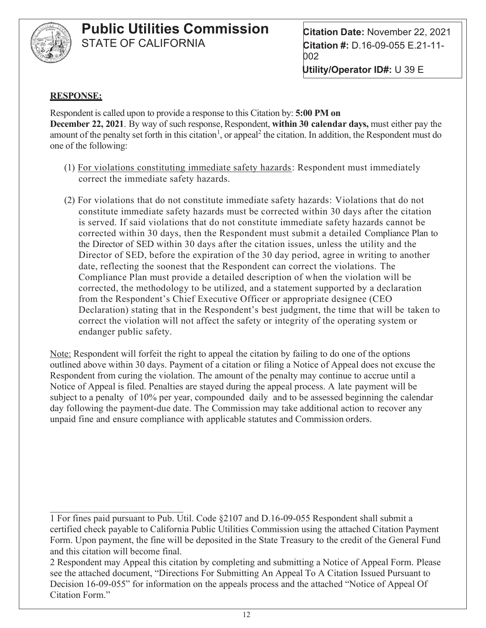

**Citation Date:** November 22, 2021 **Citation #:** D.16-09-055 E.21-11- 002 **Utility/Operator ID#:** U 39 E

#### **RESPONSE:**

Respondent is called upon to provide a response to this Citation by: **5:00 PM on December 22, 2021**. By way of such response, Respondent, **within 30 calendar days,** must either pay the amount of the penalty set forth in this citation<sup>1</sup>, or appeal<sup>2</sup> the citation. In addition, the Respondent must do one of the following:

- (1) For violations constituting immediate safety hazards: Respondent must immediately correct the immediate safety hazards.
- (2) For violations that do not constitute immediate safety hazards: Violations that do not constitute immediate safety hazards must be corrected within 30 days after the citation is served. If said violations that do not constitute immediate safety hazards cannot be corrected within 30 days, then the Respondent must submit a detailed Compliance Plan to the Director of SED within 30 days after the citation issues, unless the utility and the Director of SED, before the expiration of the 30 day period, agree in writing to another date, reflecting the soonest that the Respondent can correct the violations. The Compliance Plan must provide a detailed description of when the violation will be corrected, the methodology to be utilized, and a statement supported by a declaration from the Respondent's Chief Executive Officer or appropriate designee (CEO Declaration) stating that in the Respondent's best judgment, the time that will be taken to correct the violation will not affect the safety or integrity of the operating system or endanger public safety.

Note: Respondent will forfeit the right to appeal the citation by failing to do one of the options outlined above within 30 days. Payment of a citation or filing a Notice of Appeal does not excuse the Respondent from curing the violation. The amount of the penalty may continue to accrue until a Notice of Appeal is filed. Penalties are stayed during the appeal process. A late payment will be subject to a penalty of 10% per year, compounded daily and to be assessed beginning the calendar day following the payment-due date. The Commission may take additional action to recover any unpaid fine and ensure compliance with applicable statutes and Commission orders.

1 For fines paid pursuant to Pub. Util. Code §2107 and D.16-09-055 Respondent shall submit a certified check payable to California Public Utilities Commission using the attached Citation Payment Form. Upon payment, the fine will be deposited in the State Treasury to the credit of the General Fund and this citation will become final.

2 Respondent may Appeal this citation by completing and submitting a Notice of Appeal Form. Please see the attached document, "Directions For Submitting An Appeal To A Citation Issued Pursuant to Decision 16-09-055" for information on the appeals process and the attached "Notice of Appeal Of Citation Form."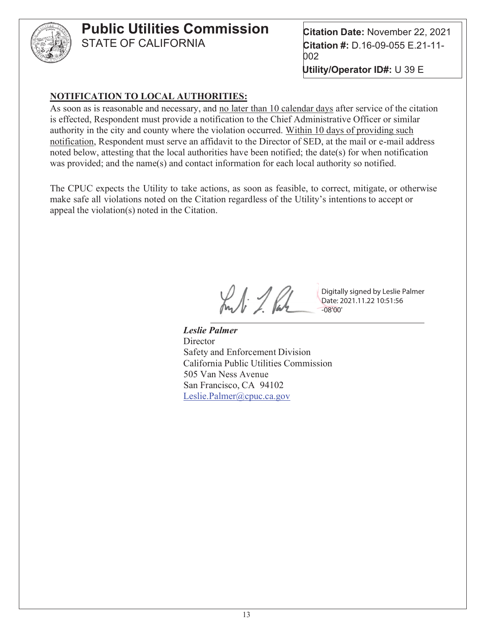

**Citation Date:** November 22, 2021 **Citation #:** D.16-09-055 E.21-11- 002 **Utility/Operator ID#:** U 39 E

#### **NOTIFICATION TO LOCAL AUTHORITIES:**

As soon as is reasonable and necessary, and no later than 10 calendar days after service of the citation is effected, Respondent must provide a notification to the Chief Administrative Officer or similar authority in the city and county where the violation occurred. Within 10 days of providing such notification, Respondent must serve an affidavit to the Director of SED, at the mail or e-mail address noted below, attesting that the local authorities have been notified; the date(s) for when notification was provided; and the name(s) and contact information for each local authority so notified.

The CPUC expects the Utility to take actions, as soon as feasible, to correct, mitigate, or otherwise make safe all violations noted on the Citation regardless of the Utility's intentions to accept or appeal the violation(s) noted in the Citation.

Kuli 1. Par

Digitally signed by Leslie Palmer Date: 2021.11.22 10:51:56 -08'00'

 *Leslie Palmer* **Director**  Safety and Enforcement Division California Public Utilities Commission 505 Van Ness Avenue San Francisco, CA 94102 Leslie.Palmer@cpuc.ca.gov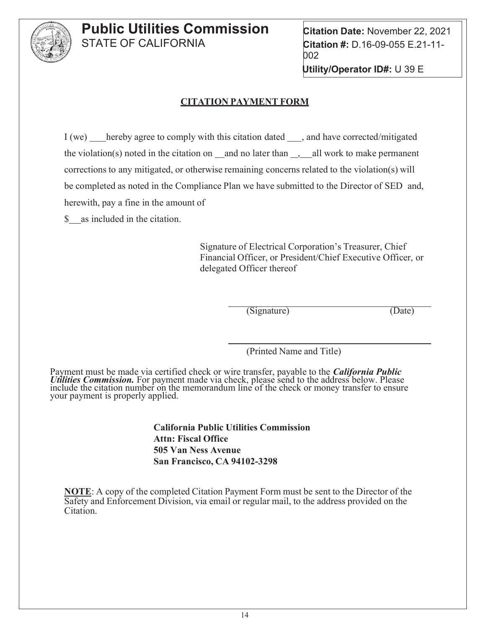

**Citation Date:** November 22, 2021 **Citation #:** D.16-09-055 E.21-11- 002 **Utility/Operator ID#:** U 39 E

#### **CITATION PAYMENT FORM**

I (we) hereby agree to comply with this citation dated , and have corrected/mitigated the violation(s) noted in the citation on \_and no later than  $\Box$ , all work to make permanent corrections to any mitigated, or otherwise remaining concerns related to the violation(s) will be completed as noted in the Compliance Plan we have submitted to the Director of SED and, herewith, pay a fine in the amount of

\$ as included in the citation.

Signature of Electrical Corporation's Treasurer, Chief Financial Officer, or President/Chief Executive Officer, or delegated Officer thereof

(Signature) (Date)

(Printed Name and Title)

Payment must be made via certified check or wire transfer, payable to the *California Public Utilities Commission*. For payment made via check, please send to the address below. Please include the citation number on the memorandum line of the check or money transfer to ensure your payment is properly applied.

> **California Public Utilities Commission Attn: Fiscal Office 505 Van Ness Avenue San Francisco, CA 94102-3298**

**NOTE**: A copy of the completed Citation Payment Form must be sent to the Director of the Safety and Enforcement Division, via email or regular mail, to the address provided on the Citation.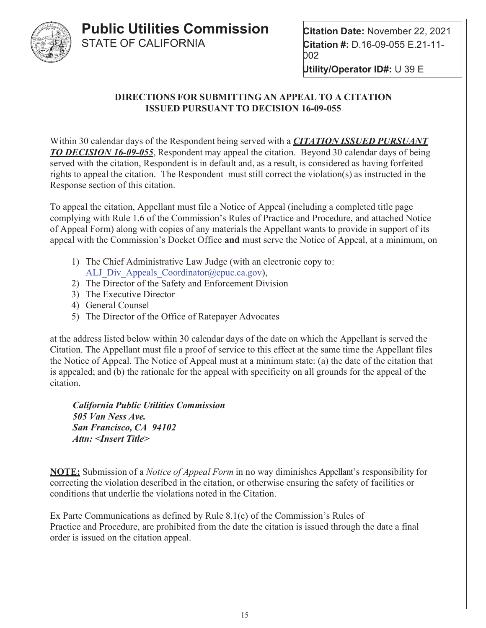

**Utility/Operator ID#:** U 39 E

#### **DIRECTIONS FOR SUBMITTING AN APPEAL TO A CITATION ISSUED PURSUANT TO DECISION 16-09-055**

Within 30 calendar days of the Respondent being served with a *CITATION ISSUED PURSUANT TO DECISION 16-09-055*, Respondent may appeal the citation. Beyond 30 calendar days of being served with the citation, Respondent is in default and, as a result, is considered as having forfeited rights to appeal the citation. The Respondent must still correct the violation(s) as instructed in the Response section of this citation.

To appeal the citation, Appellant must file a Notice of Appeal (including a completed title page complying with Rule 1.6 of the Commission's Rules of Practice and Procedure, and attached Notice of Appeal Form) along with copies of any materials the Appellant wants to provide in support of its appeal with the Commission's Docket Office **and** must serve the Notice of Appeal, at a minimum, on

- 1) The Chief Administrative Law Judge (with an electronic copy to: ALJ Div Appeals Coordinator@cpuc.ca.gov),
- 2) The Director of the Safety and Enforcement Division
- 3) The Executive Director
- 4) General Counsel
- 5) The Director of the Office of Ratepayer Advocates

at the address listed below within 30 calendar days of the date on which the Appellant is served the Citation. The Appellant must file a proof of service to this effect at the same time the Appellant files the Notice of Appeal. The Notice of Appeal must at a minimum state: (a) the date of the citation that is appealed; and (b) the rationale for the appeal with specificity on all grounds for the appeal of the citation.

*California Public Utilities Commission 505 Van Ness Ave. San Francisco, CA 94102 Attn: <Insert Title>*

**NOTE:** Submission of a *Notice of Appeal Form* in no way diminishes Appellant's responsibility for correcting the violation described in the citation, or otherwise ensuring the safety of facilities or conditions that underlie the violations noted in the Citation.

Ex Parte Communications as defined by Rule 8.1(c) of the Commission's Rules of Practice and Procedure, are prohibited from the date the citation is issued through the date a final order is issued on the citation appeal.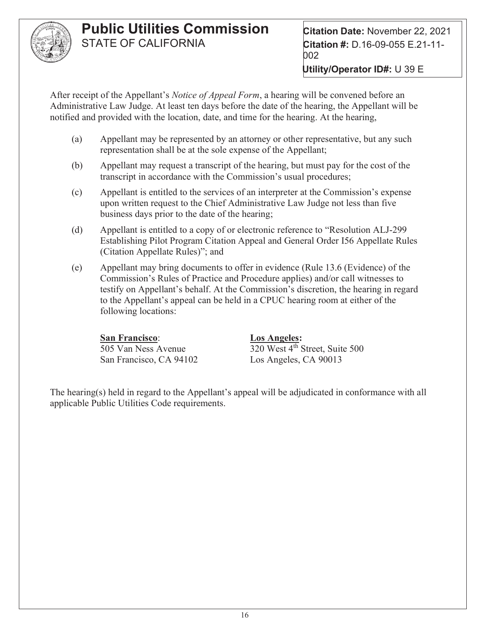

**Citation Date:** November 22, 2021 **Citation #:** D.16-09-055 E.21-11- 002 **Utility/Operator ID#:** U 39 E

After receipt of the Appellant's *Notice of Appeal Form*, a hearing will be convened before an Administrative Law Judge. At least ten days before the date of the hearing, the Appellant will be notified and provided with the location, date, and time for the hearing. At the hearing,

- (a) Appellant may be represented by an attorney or other representative, but any such representation shall be at the sole expense of the Appellant;
- (b) Appellant may request a transcript of the hearing, but must pay for the cost of the transcript in accordance with the Commission's usual procedures;
- (c) Appellant is entitled to the services of an interpreter at the Commission's expense upon written request to the Chief Administrative Law Judge not less than five business days prior to the date of the hearing;
- (d) Appellant is entitled to a copy of or electronic reference to "Resolution ALJ-299 Establishing Pilot Program Citation Appeal and General Order I56 Appellate Rules (Citation Appellate Rules)"; and
- (e) Appellant may bring documents to offer in evidence (Rule 13.6 (Evidence) of the Commission's Rules of Practice and Procedure applies) and/or call witnesses to testify on Appellant's behalf. At the Commission's discretion, the hearing in regard to the Appellant's appeal can be held in a CPUC hearing room at either of the following locations:

#### **San Francisco**: **Los Angeles:**

San Francisco, CA 94102 Los Angeles, CA 90013

505 Van Ness Avenue 320 West 4th Street, Suite 500

The hearing(s) held in regard to the Appellant's appeal will be adjudicated in conformance with all applicable Public Utilities Code requirements.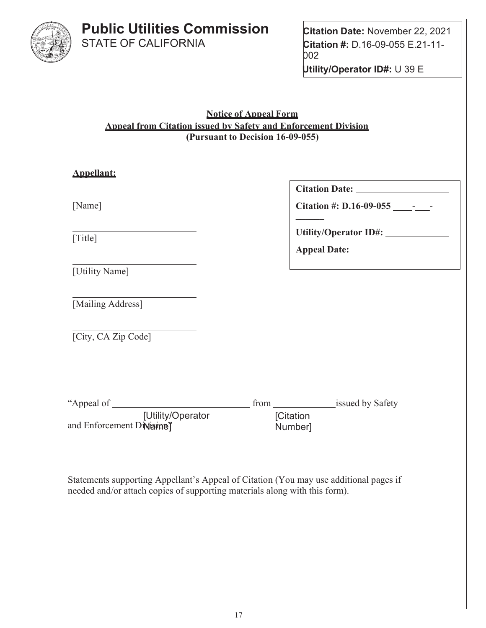

**Citation Date:** November 22, 2021 **Citation #:** D.16-09-055 E.21-11- 002 **Utility/Operator ID#:** U 39 E

**Notice of Appeal Form Appeal from Citation issued by Safety and Enforcement Division (Pursuant to Decision 16-09-055)**

| <b>Appellant:</b>                              |                                                                  |
|------------------------------------------------|------------------------------------------------------------------|
|                                                |                                                                  |
| [Name]                                         |                                                                  |
| [Title]                                        | Utility/Operator ID#: ______________                             |
| [Utility Name]                                 |                                                                  |
| [Mailing Address]                              |                                                                  |
| [City, CA Zip Code]                            |                                                                  |
|                                                |                                                                  |
| [Utility/Operator<br>and Enforcement Divisine" | from ___________________issued by Safety<br>[Citation<br>Number] |

Statements supporting Appellant's Appeal of Citation (You may use additional pages if needed and/or attach copies of supporting materials along with this form).